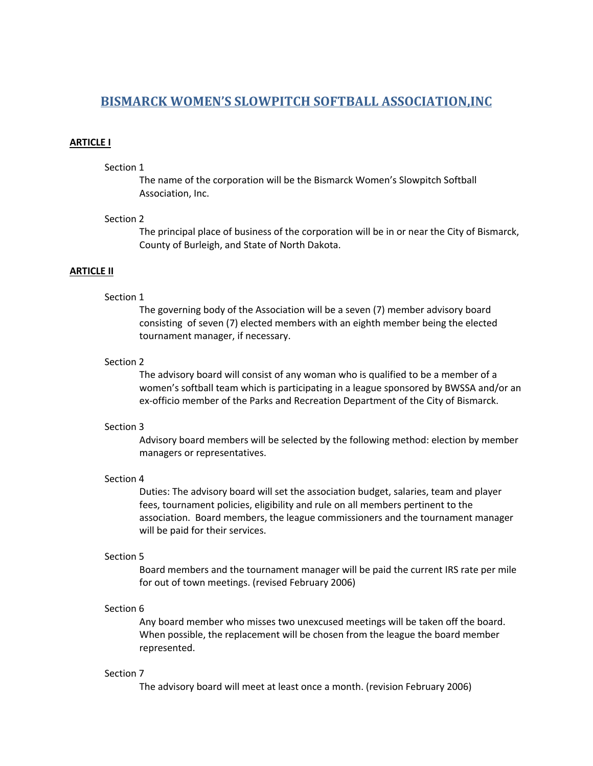# **BISMARCK WOMEN'S SLOWPITCH SOFTBALL ASSOCIATION,INC**

#### **ARTICLE I**

## Section 1

The name of the corporation will be the Bismarck Women's Slowpitch Softball Association, Inc.

#### Section 2

The principal place of business of the corporation will be in or near the City of Bismarck, County of Burleigh, and State of North Dakota.

# **ARTICLE II**

# Section 1

The governing body of the Association will be a seven (7) member advisory board consisting of seven (7) elected members with an eighth member being the elected tournament manager, if necessary.

#### Section 2

The advisory board will consist of any woman who is qualified to be a member of a women's softball team which is participating in a league sponsored by BWSSA and/or an ex-officio member of the Parks and Recreation Department of the City of Bismarck.

#### Section 3

Advisory board members will be selected by the following method: election by member managers or representatives.

## Section 4

Duties: The advisory board will set the association budget, salaries, team and player fees, tournament policies, eligibility and rule on all members pertinent to the association. Board members, the league commissioners and the tournament manager will be paid for their services.

#### Section 5

Board members and the tournament manager will be paid the current IRS rate per mile for out of town meetings. (revised February 2006)

# Section 6

Any board member who misses two unexcused meetings will be taken off the board. When possible, the replacement will be chosen from the league the board member represented.

#### Section 7

The advisory board will meet at least once a month. (revision February 2006)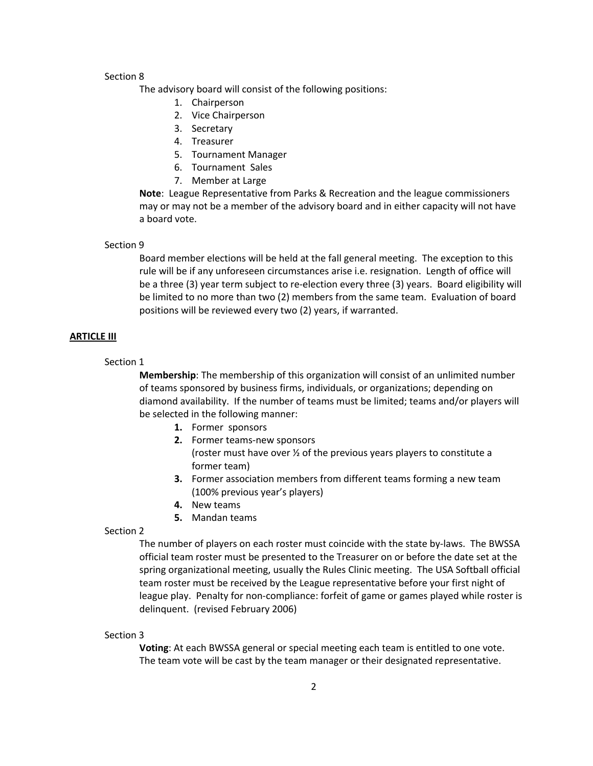The advisory board will consist of the following positions:

- 1. Chairperson
- 2. Vice Chairperson
- 3. Secretary
- 4. Treasurer
- 5. Tournament Manager
- 6. Tournament Sales
- 7. Member at Large

**Note**: League Representative from Parks & Recreation and the league commissioners may or may not be a member of the advisory board and in either capacity will not have a board vote.

#### Section 9

Board member elections will be held at the fall general meeting. The exception to this rule will be if any unforeseen circumstances arise i.e. resignation. Length of office will be a three (3) year term subject to re-election every three (3) years. Board eligibility will be limited to no more than two (2) members from the same team. Evaluation of board positions will be reviewed every two (2) years, if warranted.

#### **ARTICLE III**

## Section 1

**Membership**: The membership of this organization will consist of an unlimited number of teams sponsored by business firms, individuals, or organizations; depending on diamond availability. If the number of teams must be limited; teams and/or players will be selected in the following manner:

- **1.** Former sponsors
- **2.** Former teams-new sponsors (roster must have over ½ of the previous years players to constitute a former team)
- **3.** Former association members from different teams forming a new team (100% previous year's players)
- **4.** New teams
- **5.** Mandan teams

#### Section 2

The number of players on each roster must coincide with the state by-laws. The BWSSA official team roster must be presented to the Treasurer on or before the date set at the spring organizational meeting, usually the Rules Clinic meeting. The USA Softball official team roster must be received by the League representative before your first night of league play. Penalty for non-compliance: forfeit of game or games played while roster is delinquent. (revised February 2006)

#### Section 3

**Voting**: At each BWSSA general or special meeting each team is entitled to one vote. The team vote will be cast by the team manager or their designated representative.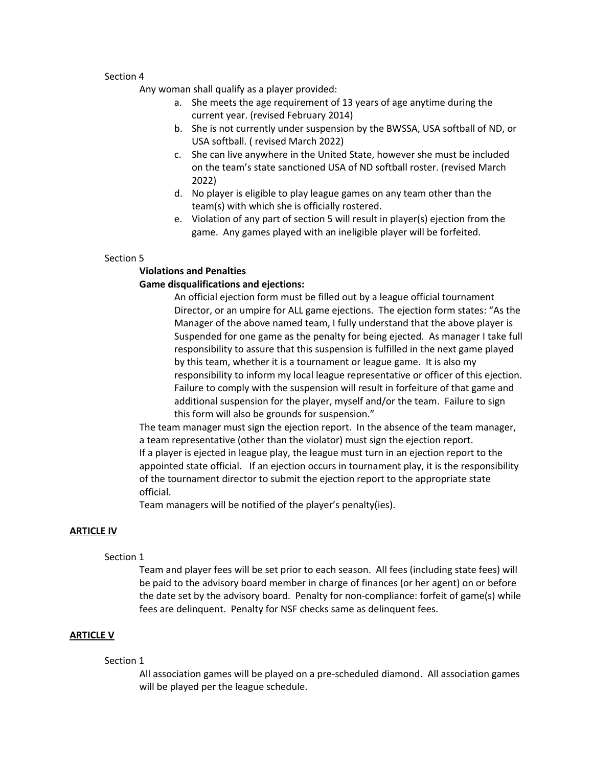Any woman shall qualify as a player provided:

- a. She meets the age requirement of 13 years of age anytime during the current year. (revised February 2014)
- b. She is not currently under suspension by the BWSSA, USA softball of ND, or USA softball. ( revised March 2022)
- c. She can live anywhere in the United State, however she must be included on the team's state sanctioned USA of ND softball roster. (revised March 2022)
- d. No player is eligible to play league games on any team other than the team(s) with which she is officially rostered.
- e. Violation of any part of section 5 will result in player(s) ejection from the game. Any games played with an ineligible player will be forfeited.

## Section 5

# **Violations and Penalties Game disqualifications and ejections:**

An official ejection form must be filled out by a league official tournament Director, or an umpire for ALL game ejections. The ejection form states: "As the Manager of the above named team, I fully understand that the above player is Suspended for one game as the penalty for being ejected. As manager I take full responsibility to assure that this suspension is fulfilled in the next game played by this team, whether it is a tournament or league game. It is also my responsibility to inform my local league representative or officer of this ejection. Failure to comply with the suspension will result in forfeiture of that game and additional suspension for the player, myself and/or the team. Failure to sign this form will also be grounds for suspension."

The team manager must sign the ejection report. In the absence of the team manager, a team representative (other than the violator) must sign the ejection report. If a player is ejected in league play, the league must turn in an ejection report to the appointed state official. If an ejection occurs in tournament play, it is the responsibility of the tournament director to submit the ejection report to the appropriate state official.

Team managers will be notified of the player's penalty(ies).

# **ARTICLE IV**

## Section 1

Team and player fees will be set prior to each season. All fees (including state fees) will be paid to the advisory board member in charge of finances (or her agent) on or before the date set by the advisory board. Penalty for non-compliance: forfeit of game(s) while fees are delinquent. Penalty for NSF checks same as delinquent fees.

# **ARTICLE V**

## Section 1

All association games will be played on a pre-scheduled diamond. All association games will be played per the league schedule.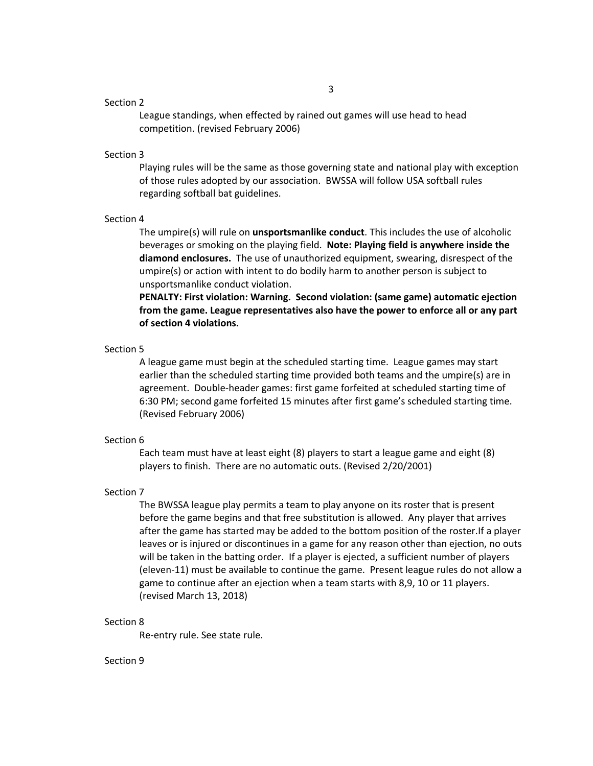League standings, when effected by rained out games will use head to head competition. (revised February 2006)

## Section 3

Playing rules will be the same as those governing state and national play with exception of those rules adopted by our association. BWSSA will follow USA softball rules regarding softball bat guidelines.

#### Section 4

The umpire(s) will rule on **unsportsmanlike conduct**. This includes the use of alcoholic beverages or smoking on the playing field. **Note: Playing field is anywhere inside the diamond enclosures.** The use of unauthorized equipment, swearing, disrespect of the umpire(s) or action with intent to do bodily harm to another person is subject to unsportsmanlike conduct violation.

**PENALTY: First violation: Warning. Second violation: (same game) automatic ejection from the game. League representatives also have the power to enforce all or any part of section 4 violations.**

#### Section 5

A league game must begin at the scheduled starting time. League games may start earlier than the scheduled starting time provided both teams and the umpire(s) are in agreement. Double-header games: first game forfeited at scheduled starting time of 6:30 PM; second game forfeited 15 minutes after first game's scheduled starting time. (Revised February 2006)

#### Section 6

Each team must have at least eight (8) players to start a league game and eight (8) players to finish. There are no automatic outs. (Revised 2/20/2001)

#### Section 7

The BWSSA league play permits a team to play anyone on its roster that is present before the game begins and that free substitution is allowed. Any player that arrives after the game has started may be added to the bottom position of the roster.If a player leaves or is injured or discontinues in a game for any reason other than ejection, no outs will be taken in the batting order. If a player is ejected, a sufficient number of players (eleven-11) must be available to continue the game. Present league rules do not allow a game to continue after an ejection when a team starts with 8,9, 10 or 11 players. (revised March 13, 2018)

#### Section 8

Re-entry rule. See state rule.

#### Section 9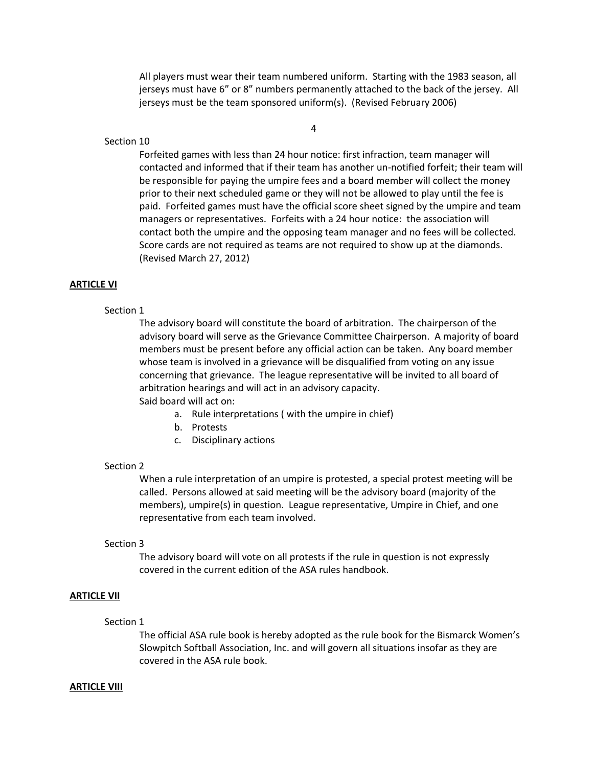All players must wear their team numbered uniform. Starting with the 1983 season, all jerseys must have 6" or 8" numbers permanently attached to the back of the jersey. All jerseys must be the team sponsored uniform(s). (Revised February 2006)

4

#### Section 10

Forfeited games with less than 24 hour notice: first infraction, team manager will contacted and informed that if their team has another un-notified forfeit; their team will be responsible for paying the umpire fees and a board member will collect the money prior to their next scheduled game or they will not be allowed to play until the fee is paid. Forfeited games must have the official score sheet signed by the umpire and team managers or representatives. Forfeits with a 24 hour notice: the association will contact both the umpire and the opposing team manager and no fees will be collected. Score cards are not required as teams are not required to show up at the diamonds. (Revised March 27, 2012)

#### **ARTICLE VI**

## Section 1

The advisory board will constitute the board of arbitration. The chairperson of the advisory board will serve as the Grievance Committee Chairperson. A majority of board members must be present before any official action can be taken. Any board member whose team is involved in a grievance will be disqualified from voting on any issue concerning that grievance. The league representative will be invited to all board of arbitration hearings and will act in an advisory capacity. Said board will act on:

a. Rule interpretations ( with the umpire in chief)

- b. Protests
- c. Disciplinary actions

#### Section 2

When a rule interpretation of an umpire is protested, a special protest meeting will be called. Persons allowed at said meeting will be the advisory board (majority of the members), umpire(s) in question. League representative, Umpire in Chief, and one representative from each team involved.

#### Section 3

The advisory board will vote on all protests if the rule in question is not expressly covered in the current edition of the ASA rules handbook.

# **ARTICLE VII**

## Section 1

The official ASA rule book is hereby adopted as the rule book for the Bismarck Women's Slowpitch Softball Association, Inc. and will govern all situations insofar as they are covered in the ASA rule book.

#### **ARTICLE VIII**